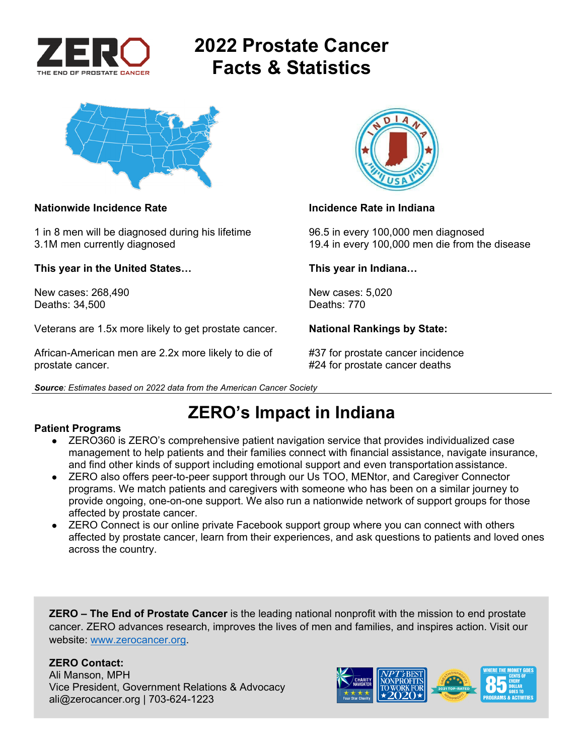

# **2022 Prostate Cancer Facts & Statistics**



### **Nationwide Incidence Rate Incidence Rate in Indiana**

1 in 8 men will be diagnosed during his lifetime 96.5 in every 100,000 men diagnosed

**This year in the United States… This year in Indiana…** 

New cases: 268,490 New cases: 5,020<br>Deaths: 34.500 Deaths: 770 Deaths: 34,500

Veterans are 1.5x more likely to get prostate cancer. **National Rankings by State:** 

African-American men are 2.2x more likely to die of #37 for prostate cancer incidence prostate cancer. #24 for prostate cancer deaths





3.1M men currently diagnosed 19.4 in every 100,000 men die from the disease

**ZERO's Impact in Indiana** 

### **Patient Programs**

- ZERO360 is ZERO's comprehensive patient navigation service that provides individualized case management to help patients and their families connect with financial assistance, navigate insurance, and find other kinds of support including emotional support and even transportation assistance.
- ZERO also offers peer-to-peer support through our Us TOO, MENtor, and Caregiver Connector programs. We match patients and caregivers with someone who has been on a similar journey to provide ongoing, one-on-one support. We also run a nationwide network of support groups for those affected by prostate cancer.
- ZERO Connect is our online private Facebook support group where you can connect with others affected by prostate cancer, learn from their experiences, and ask questions to patients and loved ones across the country.

**ZERO – The End of Prostate Cancer** is the leading national nonprofit with the mission to end prostate cancer. ZERO advances research, improves the lives of men and families, and inspires action. Visit our website: www.zerocancer.org.

### **ZERO Contact:**

Ali Manson, MPH Vice President, Government Relations & Advocacy ali@zerocancer.org | 703-624-1223